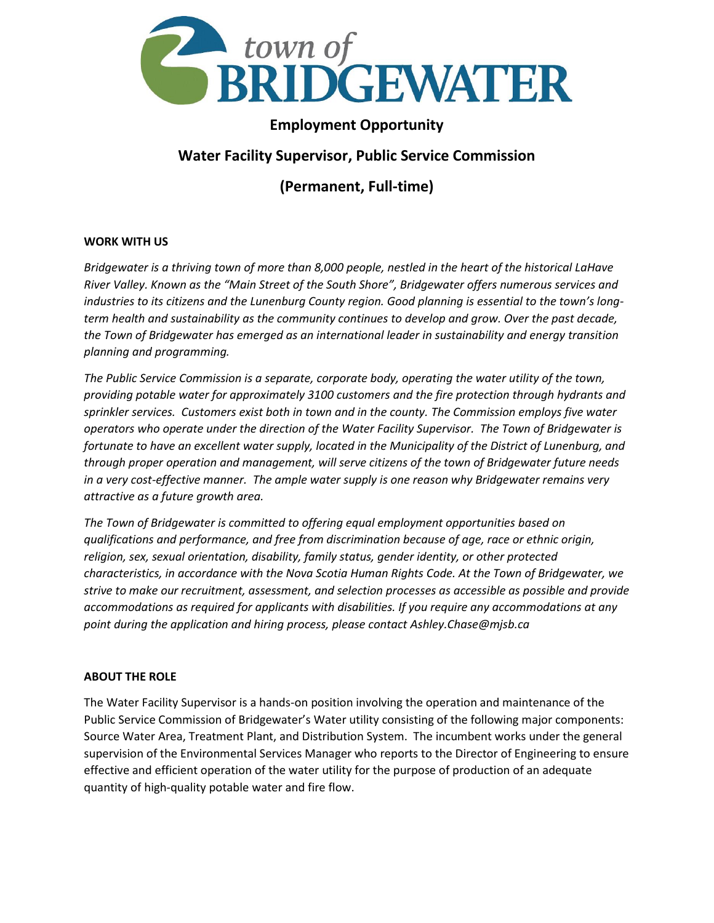

## **Employment Opportunity**

# **Water Facility Supervisor, Public Service Commission**

**(Permanent, Full-time)**

## **WORK WITH US**

*Bridgewater is a thriving town of more than 8,000 people, nestled in the heart of the historical LaHave River Valley. Known as the "Main Street of the South Shore", Bridgewater offers numerous services and industries to its citizens and the Lunenburg County region. Good planning is essential to the town's longterm health and sustainability as the community continues to develop and grow. Over the past decade, the Town of Bridgewater has emerged as an international leader in sustainability and energy transition planning and programming.*

*The Public Service Commission is a separate, corporate body, operating the water utility of the town, providing potable water for approximately 3100 customers and the fire protection through hydrants and sprinkler services. Customers exist both in town and in the county. The Commission employs five water operators who operate under the direction of the Water Facility Supervisor. The Town of Bridgewater is fortunate to have an excellent water supply, located in the Municipality of the District of Lunenburg, and through proper operation and management, will serve citizens of the town of Bridgewater future needs in a very cost-effective manner. The ample water supply is one reason why Bridgewater remains very attractive as a future growth area.*

*The Town of Bridgewater is committed to offering equal employment opportunities based on qualifications and performance, and free from discrimination because of age, race or ethnic origin, religion, sex, sexual orientation, disability, family status, gender identity, or other protected characteristics, in accordance with the Nova Scotia Human Rights Code. At the Town of Bridgewater, we strive to make our recruitment, assessment, and selection processes as accessible as possible and provide accommodations as required for applicants with disabilities. If you require any accommodations at any point during the application and hiring process, please contact Ashley.Chase@mjsb.ca*

#### **ABOUT THE ROLE**

The Water Facility Supervisor is a hands-on position involving the operation and maintenance of the Public Service Commission of Bridgewater's Water utility consisting of the following major components: Source Water Area, Treatment Plant, and Distribution System. The incumbent works under the general supervision of the Environmental Services Manager who reports to the Director of Engineering to ensure effective and efficient operation of the water utility for the purpose of production of an adequate quantity of high-quality potable water and fire flow.